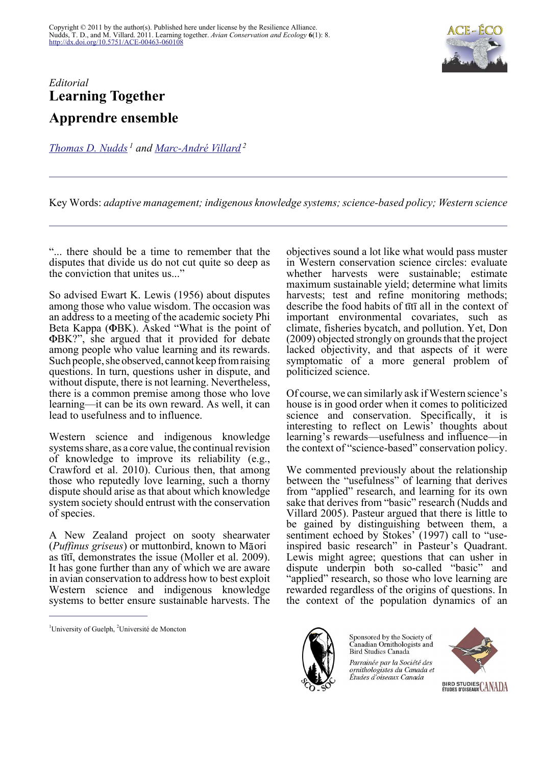

## *Editorial* **Learning Together Apprendre ensemble**

*Thomas D. Nudds<sup>1</sup> and Marc-André Villard<sup>2</sup>*

Key Words: *adaptive management; indigenous knowledge systems; science-based policy; Western science*

"... there should be a time to remember that the disputes that divide us do not cut quite so deep as the conviction that unites us..."

So advised Ewart K. Lewis (1956) about disputes among those who value wisdom. The occasion was an address to a meeting of the academic society Phi Beta Kappa ( $\Phi$ BK). Asked "What is the point of BK?", she argued that it provided for debate among people who value learning and its rewards. Such people, she observed, cannot keep from raising questions. In turn, questions usher in dispute, and without dispute, there is not learning. Nevertheless, there is a common premise among those who love learning—it can be its own reward. As well, it can lead to usefulness and to influence.

Western science and indigenous knowledge systems share, as a core value, the continual revision of knowledge to improve its reliability (e.g., Crawford et al. 2010). Curious then, that among those who reputedly love learning, such a thorny dispute should arise as that about which knowledge system society should entrust with the conservation of species.

A New Zealand project on sooty shearwater (Puffinus griseus) or muttonbird, known to Māori as tītī, demonstrates the issue (Moller et al. 2009). It has gone further than any of which we are aware in avian conservation to address how to best exploit Western science and indigenous knowledge systems to better ensure sustainable harvests. The

<sup>1</sup>University of Guelph,  ${}^{2}$ Université de Moncton

objectives sound a lot like what would pass muster in Western conservation science circles: evaluate whether harvests were sustainable; estimate maximum sustainable yield; determine what limits harvests; test and refine monitoring methods; describe the food habits of tītī all in the context of important environmental covariates, such as climate, fisheries bycatch, and pollution. Yet, Don (2009) objected strongly on grounds that the project lacked objectivity, and that aspects of it were symptomatic of a more general problem of politicized science.

Of course, we can similarly ask if Western science's house is in good order when it comes to politicized science and conservation. Specifically, it is interesting to reflect on Lewis' thoughts about learning's rewards—usefulness and influence—in the context of "science-based" conservation policy.

We commented previously about the relationship between the "usefulness" of learning that derives from "applied" research, and learning for its own sake that derives from "basic" research (Nudds and Villard 2005). Pasteur argued that there is little to be gained by distinguishing between them, a sentiment echoed by Stokes' (1997) call to "useinspired basic research" in Pasteur's Quadrant. Lewis might agree; questions that can usher in dispute underpin both so-called "basic" and "applied" research, so those who love learning are rewarded regardless of the origins of questions. In the context of the population dynamics of an



Sponsored by the Society of Canadian Ornithologists and **Bird Studies Canada** Parrainée par la Société des

ornithologistes du Canada et Études d'oiseaux Canada



**BIRD STUDIES CANADA**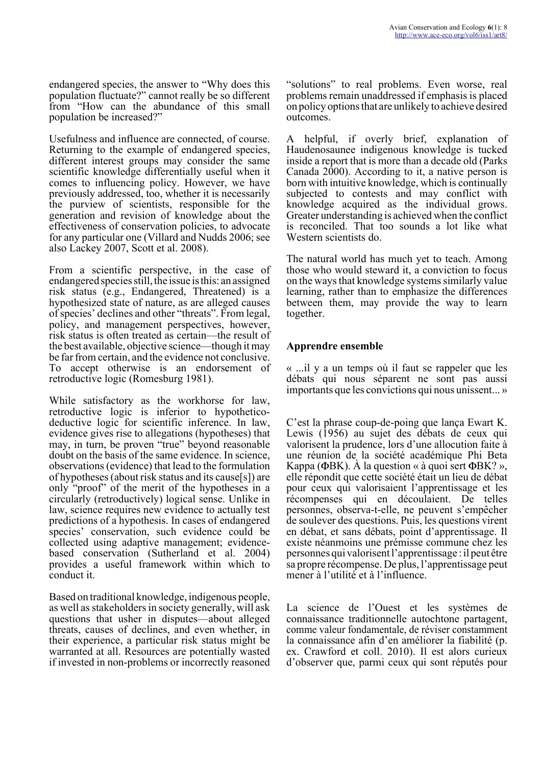endangered species, the answer to "Why does this population fluctuate?" cannot really be so different from "How can the abundance of this small population be increased?"

Usefulness and influence are connected, of course. Returning to the example of endangered species, different interest groups may consider the same scientific knowledge differentially useful when it comes to influencing policy. However, we have previously addressed, too, whether it is necessarily the purview of scientists, responsible for the generation and revision of knowledge about the effectiveness of conservation policies, to advocate for any particular one (Villard and Nudds 2006; see also Lackey 2007, Scott et al. 2008).

From a scientific perspective, in the case of endangered species still, the issue is this: an assigned risk status (e.g., Endangered, Threatened) is a hypothesized state of nature, as are alleged causes of species' declines and other "threats". From legal, policy, and management perspectives, however, risk status is often treated as certain—the result of the best available, objective science—though it may be far from certain, and the evidence not conclusive. To accept otherwise is an endorsement of retroductive logic (Romesburg 1981).

While satisfactory as the workhorse for law, retroductive logic is inferior to hypotheticodeductive logic for scientific inference. In law, evidence gives rise to allegations (hypotheses) that may, in turn, be proven "true" beyond reasonable doubt on the basis of the same evidence. In science, observations (evidence) that lead to the formulation of hypotheses (about risk status and its cause[s]) are only "proof" of the merit of the hypotheses in a circularly (retroductively) logical sense. Unlike in law, science requires new evidence to actually test predictions of a hypothesis. In cases of endangered species' conservation, such evidence could be collected using adaptive management; evidencebased conservation (Sutherland et al. 2004) provides a useful framework within which to conduct it.

Based on traditional knowledge, indigenous people, as well as stakeholders in society generally, will ask questions that usher in disputes—about alleged threats, causes of declines, and even whether, in their experience, a particular risk status might be warranted at all. Resources are potentially wasted if invested in non-problems or incorrectly reasoned

"solutions" to real problems. Even worse, real problems remain unaddressed if emphasis is placed on policy options that are unlikely to achieve desired outcomes.

A helpful, if overly brief, explanation of Haudenosaunee indigenous knowledge is tucked inside a report that is more than a decade old (Parks Canada 2000). According to it, a native person is born with intuitive knowledge, which is continually subjected to contests and may conflict with knowledge acquired as the individual grows. Greater understanding is achieved when the conflict is reconciled. That too sounds a lot like what Western scientists do.

The natural world has much yet to teach. Among those who would steward it, a conviction to focus on the ways that knowledge systems similarly value learning, rather than to emphasize the differences between them, may provide the way to learn together.

## **Apprendre ensemble**

« ...il y a un temps où il faut se rappeler que les débats qui nous séparent ne sont pas aussi importants que les convictions qui nous unissent... »

C'est la phrase coup-de-poing que lança Ewart K. Lewis (1956) au sujet des débats de ceux qui valorisent la prudence, lors d'une allocution faite à une réunion de la société académique Phi Beta Kappa ( $\Phi$ BK). À la question « à quoi sert  $\Phi$ BK? », elle répondit que cette société était un lieu de débat pour ceux qui valorisaient l'apprentissage et les récompenses qui en découlaient. De telles personnes, observa-t-elle, ne peuvent s'empêcher de soulever des questions. Puis, les questions virent en débat, et sans débats, point d'apprentissage. Il existe néanmoins une prémisse commune chez les personnes qui valorisent l'apprentissage : il peut être sa propre récompense. De plus, l'apprentissage peut mener à l'utilité et à l'influence.

La science de l'Ouest et les systèmes de connaissance traditionnelle autochtone partagent, comme valeur fondamentale, de réviser constamment la connaissance afin d'en améliorer la fiabilité (p. ex. Crawford et coll. 2010). Il est alors curieux d'observer que, parmi ceux qui sont réputés pour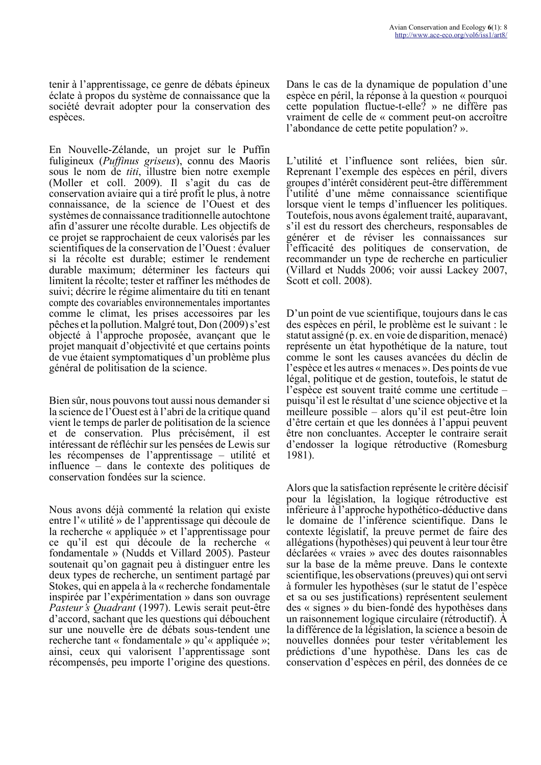tenir à l'apprentissage, ce genre de débats épineux éclate à propos du système de connaissance que la société devrait adopter pour la conservation des espèces.

En Nouvelle-Zélande, un projet sur le Puffin fuligineux (*Puffinus griseus*), connu des Maoris sous le nom de *titi*, illustre bien notre exemple (Moller et coll. 2009). Il s'agit du cas de conservation aviaire qui a tiré profit le plus, à notre connaissance, de la science de l'Ouest et des systèmes de connaissance traditionnelle autochtone afin d'assurer une récolte durable. Les objectifs de ce projet se rapprochaient de ceux valorisés par les scientifiques de la conservation de l'Ouest : évaluer si la récolte est durable; estimer le rendement durable maximum; déterminer les facteurs qui limitent la récolte; tester et raffiner les méthodes de suivi; décrire le régime alimentaire du titi en tenant compte des covariables environnementales importantes comme le climat, les prises accessoires par les pêches et la pollution. Malgré tout, Don (2009) s'est objecté à l'approche proposée, avançant que le projet manquait d'objectivité et que certains points de vue étaient symptomatiques d'un problème plus général de politisation de la science.

Bien sûr, nous pouvons tout aussi nous demander si la science de l'Ouest est à l'abri de la critique quand vient le temps de parler de politisation de la science et de conservation. Plus précisément, il est intéressant de réfléchir sur les pensées de Lewis sur les récompenses de l'apprentissage – utilité et influence – dans le contexte des politiques de conservation fondées sur la science.

Nous avons déjà commenté la relation qui existe entre l'« utilité » de l'apprentissage qui découle de la recherche « appliquée » et l'apprentissage pour ce qu'il est qui découle de la recherche « fondamentale » (Nudds et Villard 2005). Pasteur soutenait qu'on gagnait peu à distinguer entre les deux types de recherche, un sentiment partagé par Stokes, qui en appela à la « recherche fondamentale inspirée par l'expérimentation » dans son ouvrage *Pasteur's Quadrant* (1997). Lewis serait peut-être d'accord, sachant que les questions qui débouchent sur une nouvelle ère de débats sous-tendent une recherche tant « fondamentale » qu'« appliquée »; ainsi, ceux qui valorisent l'apprentissage sont récompensés, peu importe l'origine des questions.

Dans le cas de la dynamique de population d'une espèce en péril, la réponse à la question « pourquoi cette population fluctue-t-elle? » ne diffère pas vraiment de celle de « comment peut-on accroître l'abondance de cette petite population? ».

L'utilité et l'influence sont reliées, bien sûr. Reprenant l'exemple des espèces en péril, divers groupes d'intérêt considèrent peut-être différemment l'utilité d'une même connaissance scientifique lorsque vient le temps d'influencer les politiques. Toutefois, nous avons également traité, auparavant, s'il est du ressort des chercheurs, responsables de générer et de réviser les connaissances sur l'efficacité des politiques de conservation, de recommander un type de recherche en particulier (Villard et Nudds 2006; voir aussi Lackey 2007, Scott et coll. 2008).

D'un point de vue scientifique, toujours dans le cas des espèces en péril, le problème est le suivant : le statut assigné (p. ex. en voie de disparition, menacé) représente un état hypothétique de la nature, tout comme le sont les causes avancées du déclin de l'espèce et les autres « menaces ». Des points de vue légal, politique et de gestion, toutefois, le statut de l'espèce est souvent traité comme une certitude – puisqu'il est le résultat d'une science objective et la meilleure possible – alors qu'il est peut-être loin d'être certain et que les données à l'appui peuvent être non concluantes. Accepter le contraire serait d'endosser la logique rétroductive (Romesburg 1981).

Alors que la satisfaction représente le critère décisif pour la législation, la logique rétroductive est inférieure à l'approche hypothético-déductive dans le domaine de l'inférence scientifique. Dans le contexte législatif, la preuve permet de faire des allégations (hypothèses) qui peuvent à leur tour être déclarées « vraies » avec des doutes raisonnables sur la base de la même preuve. Dans le contexte scientifique, les observations (preuves) qui ont servi à formuler les hypothèses (sur le statut de l'espèce et sa ou ses justifications) représentent seulement des « signes » du bien-fondé des hypothèses dans un raisonnement logique circulaire (rétroductif). À la différence de la législation, la science a besoin de nouvelles données pour tester véritablement les prédictions d'une hypothèse. Dans les cas de conservation d'espèces en péril, des données de ce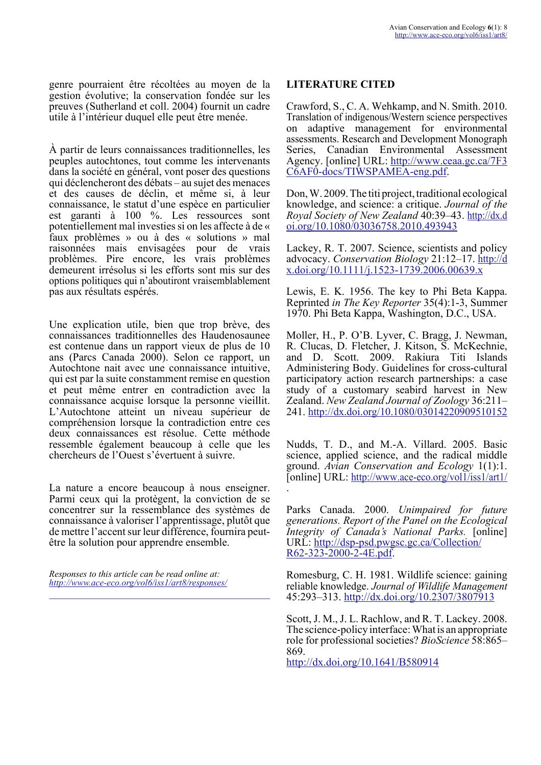genre pourraient être récoltées au moyen de la gestion évolutive; la conservation fondée sur les preuves (Sutherland et coll. 2004) fournit un cadre utile à l'intérieur duquel elle peut être menée.

À partir de leurs connaissances traditionnelles, les peuples autochtones, tout comme les intervenants dans la société en général, vont poser des questions qui déclencheront des débats – au sujet des menaces et des causes de déclin, et même si, à leur connaissance, le statut d'une espèce en particulier est garanti à 100 %. Les ressources sont potentiellement mal investies si on les affecte à de « faux problèmes » ou à des « solutions » mal raisonnées mais envisagées pour de vrais problèmes. Pire encore, les vrais problèmes demeurent irrésolus si les efforts sont mis sur des options politiques qui n'aboutiront vraisemblablement pas aux résultats espérés.

Une explication utile, bien que trop brève, des connaissances traditionnelles des Haudenosaunee est contenue dans un rapport vieux de plus de 10 ans (Parcs Canada 2000). Selon ce rapport, un Autochtone nait avec une connaissance intuitive, qui est par la suite constamment remise en question et peut même entrer en contradiction avec la connaissance acquise lorsque la personne vieillit. L'Autochtone atteint un niveau supérieur de compréhension lorsque la contradiction entre ces deux connaissances est résolue. Cette méthode ressemble également beaucoup à celle que les chercheurs de l'Ouest s'évertuent à suivre.

La nature a encore beaucoup à nous enseigner. Parmi ceux qui la protègent, la conviction de se concentrer sur la ressemblance des systèmes de connaissance à valoriser l'apprentissage, plutôt que de mettre l'accent sur leur différence, fournira peutêtre la solution pour apprendre ensemble.

*Responses to this article can be read online at: http://www.ace-eco.org/vol6/iss1/art8/responses/*

## **LITERATURE CITED**

Crawford, S., C. A. Wehkamp, and N. Smith. 2010. Translation of indigenous/Western science perspectives on adaptive management for environmental assessments. Research and Development Monograph Series, Canadian Environmental Assessment Agency. [online] URL: http://www.ceaa.gc.ca/7F3 C6AF0-docs/TIWSPAMEA-eng.pdf.

Don, W. 2009. The titi project, traditional ecological knowledge, and science: a critique. *Journal of the Royal Society of New Zealand* 40:39–43. http://dx.d oi.org/10.1080/03036758.2010.493943

Lackey, R. T. 2007. Science, scientists and policy advocacy. *Conservation Biology* 21:12–17. http://d x.doi.org/10.1111/j.1523-1739.2006.00639.x

Lewis, E. K. 1956. The key to Phi Beta Kappa. Reprinted *in The Key Reporter* 35(4):1-3, Summer 1970. Phi Beta Kappa, Washington, D.C., USA.

Moller, H., P. O'B. Lyver, C. Bragg, J. Newman, R. Clucas, D. Fletcher, J. Kitson, S. McKechnie, and D. Scott. 2009. Rakiura Titi Islands Administering Body. Guidelines for cross-cultural participatory action research partnerships: a case study of a customary seabird harvest in New Zealand. *New Zealand Journal of Zoology* 36:211– 241. http://dx.doi.org/10.1080/03014220909510152

Nudds, T. D., and M.-A. Villard. 2005. Basic science, applied science, and the radical middle ground. *Avian Conservation and Ecology* 1(1):1. [online] URL: http://www.ace-eco.org/vol1/iss1/art1/ .

Parks Canada. 2000. *Unimpaired for future generations. Report of the Panel on the Ecological Integrity of Canada's National Parks.* [online] URL: http://dsp-psd.pwgsc.gc.ca/Collection/ R62-323-2000-2-4E.pdf.

Romesburg, C. H. 1981. Wildlife science: gaining reliable knowledge. *Journal of Wildlife Management* 45:293–313. http://dx.doi.org/10.2307/3807913

Scott, J. M., J. L. Rachlow, and R. T. Lackey. 2008. The science-policy interface: What is an appropriate role for professional societies? *BioScience* 58:865– 869.

http://dx.doi.org/10.1641/B580914